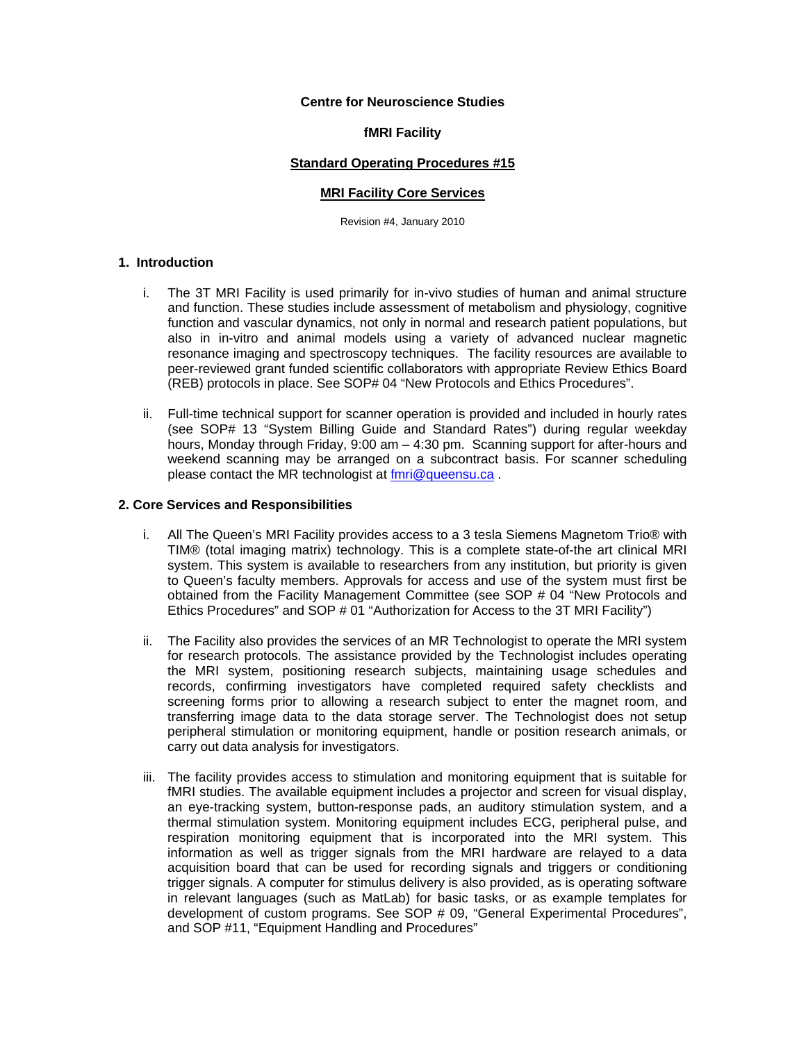## **Centre for Neuroscience Studies**

#### **fMRI Facility**

## **Standard Operating Procedures #15**

#### **MRI Facility Core Services**

Revision #4, January 2010

# **1. Introduction**

- i. The 3T MRI Facility is used primarily for in-vivo studies of human and animal structure and function. These studies include assessment of metabolism and physiology, cognitive function and vascular dynamics, not only in normal and research patient populations, but also in in-vitro and animal models using a variety of advanced nuclear magnetic resonance imaging and spectroscopy techniques. The facility resources are available to peer-reviewed grant funded scientific collaborators with appropriate Review Ethics Board (REB) protocols in place. See SOP# 04 "New Protocols and Ethics Procedures".
- ii. Full-time technical support for scanner operation is provided and included in hourly rates (see SOP# 13 "System Billing Guide and Standard Rates") during regular weekday hours, Monday through Friday, 9:00 am – 4:30 pm. Scanning support for after-hours and weekend scanning may be arranged on a subcontract basis. For scanner scheduling please contact the MR technologist at fmri@queensu.ca .

#### **2. Core Services and Responsibilities**

- i. All The Queen's MRI Facility provides access to a 3 tesla Siemens Magnetom Trio® with TIM® (total imaging matrix) technology. This is a complete state-of-the art clinical MRI system. This system is available to researchers from any institution, but priority is given to Queen's faculty members. Approvals for access and use of the system must first be obtained from the Facility Management Committee (see SOP # 04 "New Protocols and Ethics Procedures" and SOP # 01 "Authorization for Access to the 3T MRI Facility")
- ii. The Facility also provides the services of an MR Technologist to operate the MRI system for research protocols. The assistance provided by the Technologist includes operating the MRI system, positioning research subjects, maintaining usage schedules and records, confirming investigators have completed required safety checklists and screening forms prior to allowing a research subject to enter the magnet room, and transferring image data to the data storage server. The Technologist does not setup peripheral stimulation or monitoring equipment, handle or position research animals, or carry out data analysis for investigators.
- iii. The facility provides access to stimulation and monitoring equipment that is suitable for fMRI studies. The available equipment includes a projector and screen for visual display, an eye-tracking system, button-response pads, an auditory stimulation system, and a thermal stimulation system. Monitoring equipment includes ECG, peripheral pulse, and respiration monitoring equipment that is incorporated into the MRI system. This information as well as trigger signals from the MRI hardware are relayed to a data acquisition board that can be used for recording signals and triggers or conditioning trigger signals. A computer for stimulus delivery is also provided, as is operating software in relevant languages (such as MatLab) for basic tasks, or as example templates for development of custom programs. See SOP # 09, "General Experimental Procedures", and SOP #11, "Equipment Handling and Procedures"